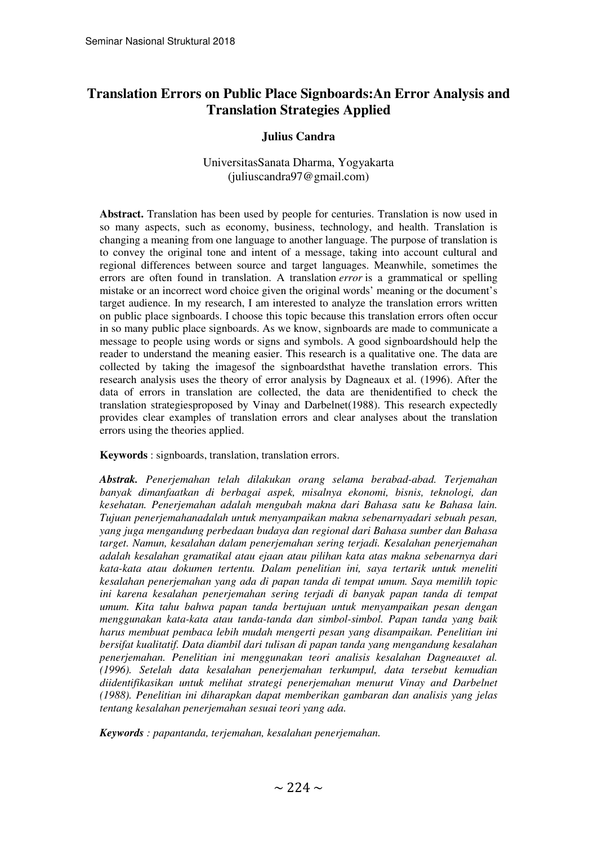# **Translation Errors on Public Place Signboards:An Error Analysis and Translation Strategies Applied**

#### **Julius Candra**

#### UniversitasSanata Dharma, Yogyakarta (juliuscandra97@gmail.com)

**Abstract.** Translation has been used by people for centuries. Translation is now used in so many aspects, such as economy, business, technology, and health. Translation is changing a meaning from one language to another language. The purpose of translation is to convey the original tone and intent of a message, taking into account cultural and regional differences between source and target languages. Meanwhile, sometimes the errors are often found in translation. A translation *error* is a grammatical or spelling mistake or an incorrect word choice given the original words' meaning or the document's target audience. In my research, I am interested to analyze the translation errors written on public place signboards. I choose this topic because this translation errors often occur in so many public place signboards. As we know, signboards are made to communicate a message to people using words or signs and symbols. A good signboardshould help the reader to understand the meaning easier. This research is a qualitative one. The data are collected by taking the imagesof the signboardsthat havethe translation errors. This research analysis uses the theory of error analysis by Dagneaux et al. (1996). After the data of errors in translation are collected, the data are thenidentified to check the translation strategiesproposed by Vinay and Darbelnet(1988). This research expectedly provides clear examples of translation errors and clear analyses about the translation errors using the theories applied.

**Keywords** : signboards, translation, translation errors.

*Abstrak. Penerjemahan telah dilakukan orang selama berabad-abad. Terjemahan banyak dimanfaatkan di berbagai aspek, misalnya ekonomi, bisnis, teknologi, dan kesehatan. Penerjemahan adalah mengubah makna dari Bahasa satu ke Bahasa lain. Tujuan penerjemahanadalah untuk menyampaikan makna sebenarnyadari sebuah pesan, yang juga mengandung perbedaan budaya dan regional dari Bahasa sumber dan Bahasa target. Namun, kesalahan dalam penerjemahan sering terjadi. Kesalahan penerjemahan adalah kesalahan gramatikal atau ejaan atau pilihan kata atas makna sebenarnya dari kata-kata atau dokumen tertentu. Dalam penelitian ini, saya tertarik untuk meneliti kesalahan penerjemahan yang ada di papan tanda di tempat umum. Saya memilih topic ini karena kesalahan penerjemahan sering terjadi di banyak papan tanda di tempat umum. Kita tahu bahwa papan tanda bertujuan untuk menyampaikan pesan dengan menggunakan kata-kata atau tanda-tanda dan simbol-simbol. Papan tanda yang baik harus membuat pembaca lebih mudah mengerti pesan yang disampaikan. Penelitian ini bersifat kualitatif. Data diambil dari tulisan di papan tanda yang mengandung kesalahan penerjemahan. Penelitian ini menggunakan teori analisis kesalahan Dagneauxet al. (1996). Setelah data kesalahan penerjemahan terkumpul, data tersebut kemudian diidentifikasikan untuk melihat strategi penerjemahan menurut Vinay and Darbelnet (1988). Penelitian ini diharapkan dapat memberikan gambaran dan analisis yang jelas tentang kesalahan penerjemahan sesuai teori yang ada.* 

*Keywords : papantanda, terjemahan, kesalahan penerjemahan.*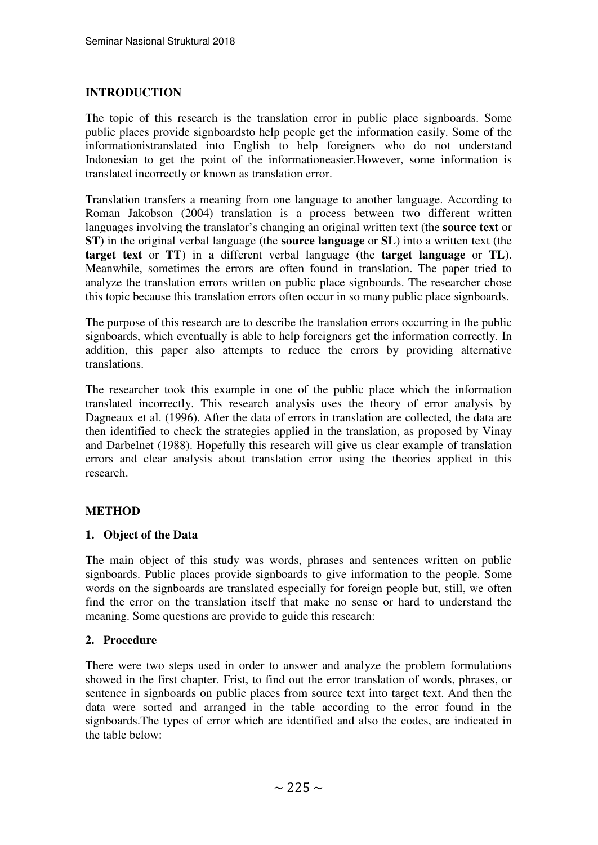### **INTRODUCTION**

The topic of this research is the translation error in public place signboards. Some public places provide signboardsto help people get the information easily. Some of the informationistranslated into English to help foreigners who do not understand Indonesian to get the point of the informationeasier.However, some information is translated incorrectly or known as translation error.

Translation transfers a meaning from one language to another language. According to Roman Jakobson (2004) translation is a process between two different written languages involving the translator's changing an original written text (the **source text** or **ST**) in the original verbal language (the **source language** or **SL**) into a written text (the **target text** or **TT**) in a different verbal language (the **target language** or **TL**). Meanwhile, sometimes the errors are often found in translation. The paper tried to analyze the translation errors written on public place signboards. The researcher chose this topic because this translation errors often occur in so many public place signboards.

The purpose of this research are to describe the translation errors occurring in the public signboards, which eventually is able to help foreigners get the information correctly. In addition, this paper also attempts to reduce the errors by providing alternative translations.

The researcher took this example in one of the public place which the information translated incorrectly. This research analysis uses the theory of error analysis by Dagneaux et al. (1996). After the data of errors in translation are collected, the data are then identified to check the strategies applied in the translation, as proposed by Vinay and Darbelnet (1988). Hopefully this research will give us clear example of translation errors and clear analysis about translation error using the theories applied in this research.

## **METHOD**

### **1. Object of the Data**

The main object of this study was words, phrases and sentences written on public signboards. Public places provide signboards to give information to the people. Some words on the signboards are translated especially for foreign people but, still, we often find the error on the translation itself that make no sense or hard to understand the meaning. Some questions are provide to guide this research:

### **2. Procedure**

There were two steps used in order to answer and analyze the problem formulations showed in the first chapter. Frist, to find out the error translation of words, phrases, or sentence in signboards on public places from source text into target text. And then the data were sorted and arranged in the table according to the error found in the signboards.The types of error which are identified and also the codes, are indicated in the table below: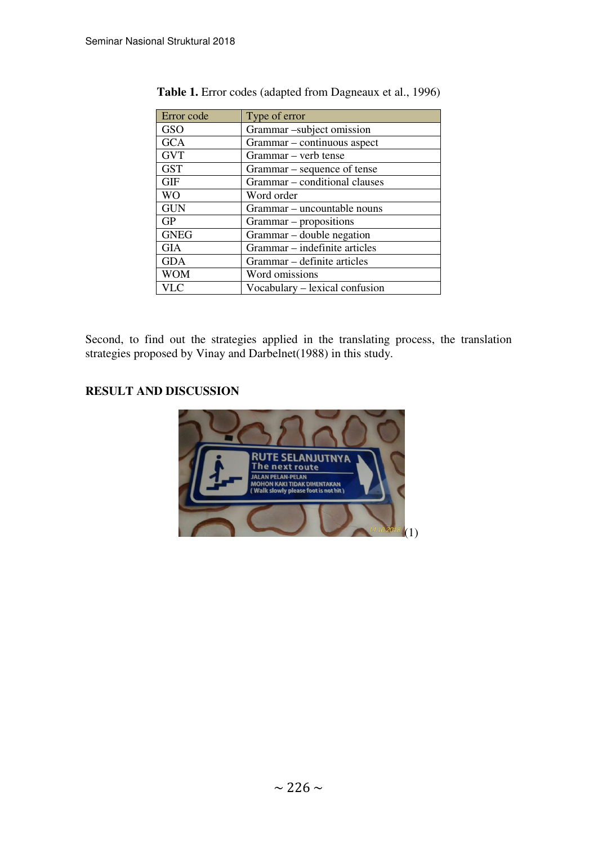| Error code  | Type of error                  |
|-------------|--------------------------------|
| <b>GSO</b>  | Grammar-subject omission       |
| <b>GCA</b>  | Grammar – continuous aspect    |
| <b>GVT</b>  | Grammar – verb tense           |
| <b>GST</b>  | Grammar – sequence of tense    |
| <b>GIF</b>  | Grammar – conditional clauses  |
| <b>WO</b>   | Word order                     |
| <b>GUN</b>  | Grammar – uncountable nouns    |
| <b>GP</b>   | Grammar – propositions         |
| <b>GNEG</b> | Grammar – double negation      |
| <b>GIA</b>  | Grammar – indefinite articles  |
| <b>GDA</b>  | Grammar – definite articles    |
| <b>WOM</b>  | Word omissions                 |
| VLC         | Vocabulary – lexical confusion |

**Table 1.** Error codes (adapted from Dagneaux et al., 1996)

Second, to find out the strategies applied in the translating process, the translation strategies proposed by Vinay and Darbelnet(1988) in this study.

# **RESULT AND DISCUSSION**

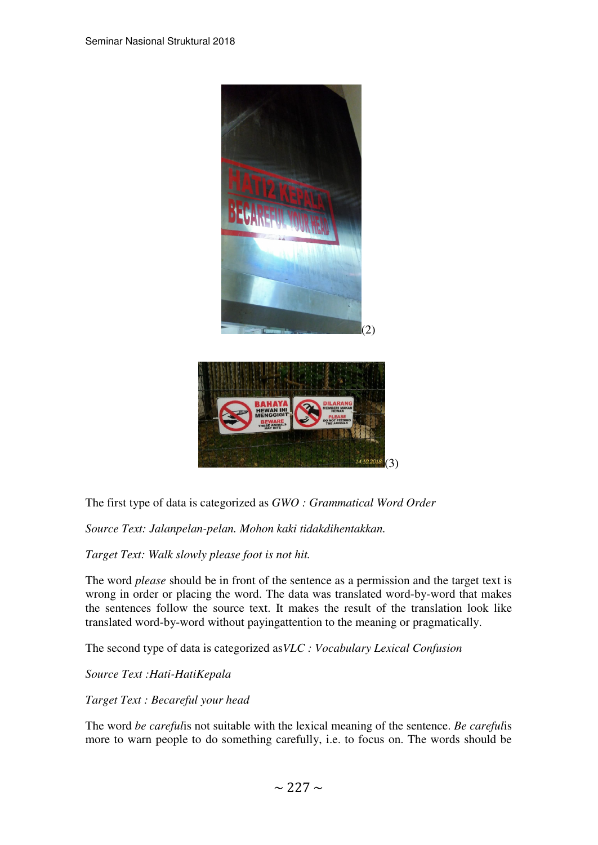

The first type of data is categorized as *GWO : Grammatical Word Order* 

*Source Text: Jalanpelan-pelan. Mohon kaki tidakdihentakkan.* 

*Target Text: Walk slowly please foot is not hit.* 

The word *please* should be in front of the sentence as a permission and the target text is wrong in order or placing the word. The data was translated word-by-word that makes the sentences follow the source text. It makes the result of the translation look like translated word-by-word without payingattention to the meaning or pragmatically.

The second type of data is categorized as*VLC : Vocabulary Lexical Confusion* 

*Source Text :Hati-HatiKepala* 

*Target Text : Becareful your head* 

The word *be careful*is not suitable with the lexical meaning of the sentence. *Be careful*is more to warn people to do something carefully, i.e. to focus on. The words should be